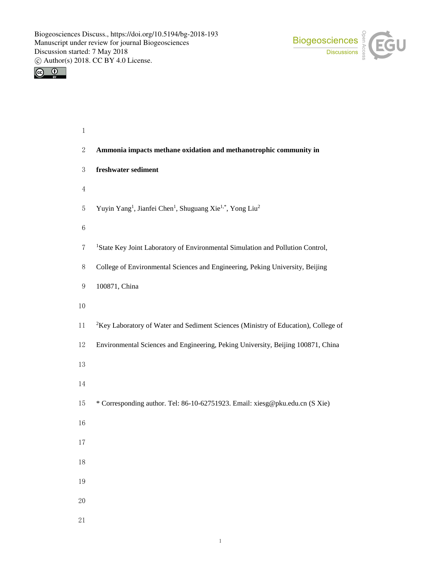



| $\,1$            |                                                                                                           |
|------------------|-----------------------------------------------------------------------------------------------------------|
| $\boldsymbol{2}$ | Ammonia impacts methane oxidation and methanotrophic community in                                         |
| $\mathfrak{Z}$   | freshwater sediment                                                                                       |
| $\overline{4}$   |                                                                                                           |
| 5                | Yuyin Yang <sup>1</sup> , Jianfei Chen <sup>1</sup> , Shuguang Xie <sup>1,*</sup> , Yong Liu <sup>2</sup> |
| $\,6\,$          |                                                                                                           |
| 7                | <sup>1</sup> State Key Joint Laboratory of Environmental Simulation and Pollution Control,                |
| 8                | College of Environmental Sciences and Engineering, Peking University, Beijing                             |
| 9                | 100871, China                                                                                             |
| 10               |                                                                                                           |
| $11\,$           | <sup>2</sup> Key Laboratory of Water and Sediment Sciences (Ministry of Education), College of            |
| 12               | Environmental Sciences and Engineering, Peking University, Beijing 100871, China                          |
| 13               |                                                                                                           |
| 14               |                                                                                                           |
| 15               | * Corresponding author. Tel: 86-10-62751923. Email: xiesg@pku.edu.cn (S Xie)                              |
| $16\,$           |                                                                                                           |
| 17               |                                                                                                           |
| 18               |                                                                                                           |
| 19               |                                                                                                           |
| 20               |                                                                                                           |
| 21               |                                                                                                           |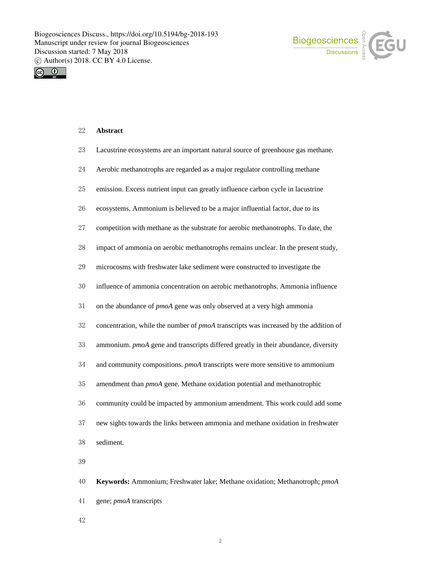



# **Abstract**

- Lacustrine ecosystems are an important natural source of greenhouse gas methane.
- Aerobic methanotrophs are regarded as a major regulator controlling methane
- emission. Excess nutrient input can greatly influence carbon cycle in lacustrine
- ecosystems. Ammonium is believed to be a major influential factor, due to its
- competition with methane as the substrate for aerobic methanotrophs. To date, the
- impact of ammonia on aerobic methanotrophs remains unclear. In the present study,
- microcosms with freshwater lake sediment were constructed to investigate the
- influence of ammonia concentration on aerobic methanotrophs. Ammonia influence
- on the abundance of *pmoA* gene was only observed at a very high ammonia
- concentration, while the number of *pmoA* transcripts was increased by the addition of
- ammonium. *pmoA* gene and transcripts differed greatly in their abundance, diversity
- and community compositions. *pmoA* transcripts were more sensitive to ammonium
- amendment than *pmoA* gene. Methane oxidation potential and methanotrophic
- community could be impacted by ammonium amendment. This work could add some
- new sights towards the links between ammonia and methane oxidation in freshwater
- sediment.
- 

 **Keywords:** Ammonium; Freshwater lake; Methane oxidation; Methanotroph; *pmoA* gene; *pmoA* transcripts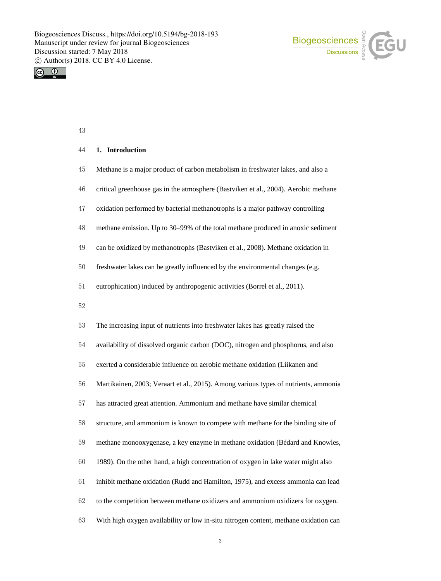



# **1. Introduction**

- Methane is a major product of carbon metabolism in freshwater lakes, and also a
- critical greenhouse gas in the atmosphere (Bastviken et al., 2004). Aerobic methane
- oxidation performed by bacterial methanotrophs is a major pathway controlling
- methane emission. Up to 30–99% of the total methane produced in anoxic sediment
- can be oxidized by methanotrophs (Bastviken et al., 2008). Methane oxidation in
- freshwater lakes can be greatly influenced by the environmental changes (e.g.
- eutrophication) induced by anthropogenic activities (Borrel et al., 2011).
- 
- The increasing input of nutrients into freshwater lakes has greatly raised the
- availability of dissolved organic carbon (DOC), nitrogen and phosphorus, and also
- exerted a considerable influence on aerobic methane oxidation (Liikanen and
- Martikainen, 2003; Veraart et al., 2015). Among various types of nutrients, ammonia
- has attracted great attention. Ammonium and methane have similar chemical
- structure, and ammonium is known to compete with methane for the binding site of
- methane monooxygenase, a key enzyme in methane oxidation (Bédard and Knowles,
- 1989). On the other hand, a high concentration of oxygen in lake water might also
- inhibit methane oxidation (Rudd and Hamilton, 1975), and excess ammonia can lead
- to the competition between methane oxidizers and ammonium oxidizers for oxygen.
- With high oxygen availability or low in-situ nitrogen content, methane oxidation can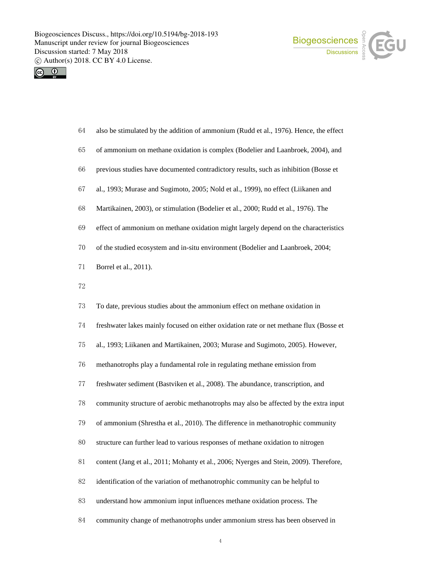



- also be stimulated by the addition of ammonium (Rudd et al., 1976). Hence, the effect
- of ammonium on methane oxidation is complex (Bodelier and Laanbroek, 2004), and
- previous studies have documented contradictory results, such as inhibition (Bosse et
- al., 1993; Murase and Sugimoto, 2005; Nold et al., 1999), no effect (Liikanen and
- Martikainen, 2003), or stimulation (Bodelier et al., 2000; Rudd et al., 1976). The
- effect of ammonium on methane oxidation might largely depend on the characteristics
- of the studied ecosystem and in-situ environment (Bodelier and Laanbroek, 2004;
- Borrel et al., 2011).
- 
- To date, previous studies about the ammonium effect on methane oxidation in
- freshwater lakes mainly focused on either oxidation rate or net methane flux (Bosse et
- al., 1993; Liikanen and Martikainen, 2003; Murase and Sugimoto, 2005). However,
- methanotrophs play a fundamental role in regulating methane emission from
- freshwater sediment (Bastviken et al., 2008). The abundance, transcription, and
- community structure of aerobic methanotrophs may also be affected by the extra input
- of ammonium (Shrestha et al., 2010). The difference in methanotrophic community
- structure can further lead to various responses of methane oxidation to nitrogen
- content (Jang et al., 2011; Mohanty et al., 2006; Nyerges and Stein, 2009). Therefore,
- identification of the variation of methanotrophic community can be helpful to
- understand how ammonium input influences methane oxidation process. The
- community change of methanotrophs under ammonium stress has been observed in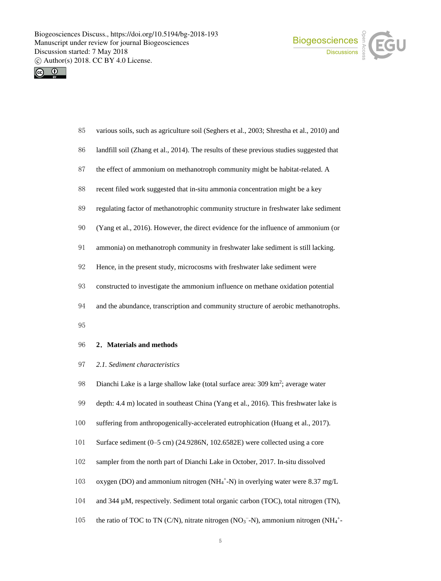



| 85 | various soils, such as agriculture soil (Seghers et al., 2003; Shrestha et al., 2010) and |  |  |  |  |  |
|----|-------------------------------------------------------------------------------------------|--|--|--|--|--|
|----|-------------------------------------------------------------------------------------------|--|--|--|--|--|

- landfill soil (Zhang et al., 2014). The results of these previous studies suggested that
- the effect of ammonium on methanotroph community might be habitat-related. A
- recent filed work suggested that in-situ ammonia concentration might be a key
- regulating factor of methanotrophic community structure in freshwater lake sediment
- (Yang et al., 2016). However, the direct evidence for the influence of ammonium (or
- ammonia) on methanotroph community in freshwater lake sediment is still lacking.
- Hence, in the present study, microcosms with freshwater lake sediment were
- constructed to investigate the ammonium influence on methane oxidation potential
- and the abundance, transcription and community structure of aerobic methanotrophs.
- 

### **2**.**Materials and methods**

- *2.1. Sediment characteristics*
- 98 Dianchi Lake is a large shallow lake (total surface area: 309 km<sup>2</sup>; average water
- depth: 4.4 m) located in southeast China (Yang et al., 2016). This freshwater lake is
- suffering from anthropogenically-accelerated eutrophication (Huang et al., 2017).
- Surface sediment (0–5 cm) (24.9286N, 102.6582E) were collected using a core
- sampler from the north part of Dianchi Lake in October, 2017. In-situ dissolved
- 103 oxygen (DO) and ammonium nitrogen (NH<sub>4</sub><sup>+</sup>-N) in overlying water were 8.37 mg/L
- and 344 µM, respectively. Sediment total organic carbon (TOC), total nitrogen (TN),
- 105 the ratio of TOC to TN (C/N), nitrate nitrogen (NO<sub>3</sub><sup>-</sup>-N), ammonium nitrogen (NH<sub>4</sub><sup>+</sup>-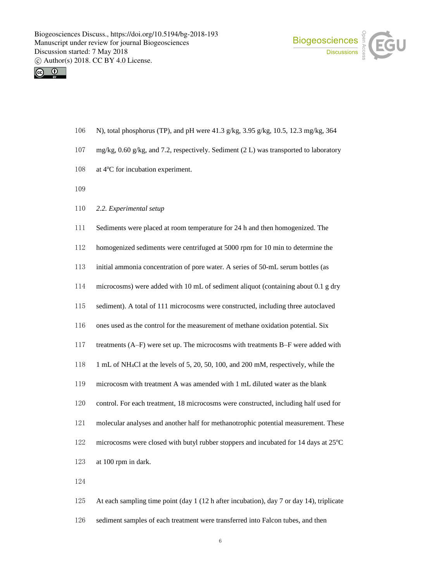



- N), total phosphorus (TP), and pH were 41.3 g/kg, 3.95 g/kg, 10.5, 12.3 mg/kg, 364
- mg/kg, 0.60 g/kg, and 7.2, respectively. Sediment (2 L) was transported to laboratory
- at 4 $\rm ^{o}C$  for incubation experiment.
- 
- *2.2. Experimental setup*
- Sediments were placed at room temperature for 24 h and then homogenized. The

homogenized sediments were centrifuged at 5000 rpm for 10 min to determine the

initial ammonia concentration of pore water. A series of 50-mL serum bottles (as

- microcosms) were added with 10 mL of sediment aliquot (containing about 0.1 g dry
- sediment). A total of 111 microcosms were constructed, including three autoclaved
- ones used as the control for the measurement of methane oxidation potential. Six
- treatments (A–F) were set up. The microcosms with treatments B–F were added with
- 1 mL of NH4Cl at the levels of 5, 20, 50, 100, and 200 mM, respectively, while the
- microcosm with treatment A was amended with 1 mL diluted water as the blank
- control. For each treatment, 18 microcosms were constructed, including half used for
- molecular analyses and another half for methanotrophic potential measurement. These
- 122 microcosms were closed with butyl rubber stoppers and incubated for 14 days at  $25^{\circ}$ C
- at 100 rpm in dark.
- 

 At each sampling time point (day 1 (12 h after incubation), day 7 or day 14), triplicate sediment samples of each treatment were transferred into Falcon tubes, and then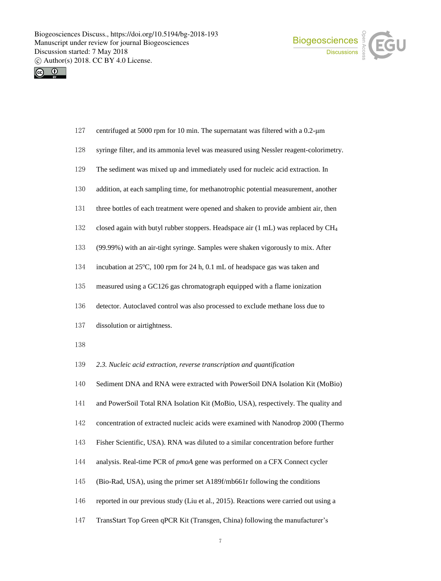



- centrifuged at 5000 rpm for 10 min. The supernatant was filtered with a 0.2-μm
- syringe filter, and its ammonia level was measured using Nessler reagent-colorimetry.
- The sediment was mixed up and immediately used for nucleic acid extraction. In
- addition, at each sampling time, for methanotrophic potential measurement, another
- three bottles of each treatment were opened and shaken to provide ambient air, then
- closed again with butyl rubber stoppers. Headspace air (1 mL) was replaced by CH<sup>4</sup>
- (99.99%) with an air-tight syringe. Samples were shaken vigorously to mix. After
- incubation at  $25^{\circ}$ C, 100 rpm for 24 h, 0.1 mL of headspace gas was taken and
- measured using a GC126 gas chromatograph equipped with a flame ionization
- detector. Autoclaved control was also processed to exclude methane loss due to
- dissolution or airtightness.
- 
- *2.3. Nucleic acid extraction, reverse transcription and quantification*
- Sediment DNA and RNA were extracted with PowerSoil DNA Isolation Kit (MoBio)
- and PowerSoil Total RNA Isolation Kit (MoBio, USA), respectively. The quality and
- concentration of extracted nucleic acids were examined with Nanodrop 2000 (Thermo
- Fisher Scientific, USA). RNA was diluted to a similar concentration before further
- analysis. Real-time PCR of *pmoA* gene was performed on a CFX Connect cycler
- (Bio-Rad, USA), using the primer set A189f/mb661r following the conditions
- reported in our previous study (Liu et al., 2015). Reactions were carried out using a
- TransStart Top Green qPCR Kit (Transgen, China) following the manufacturer's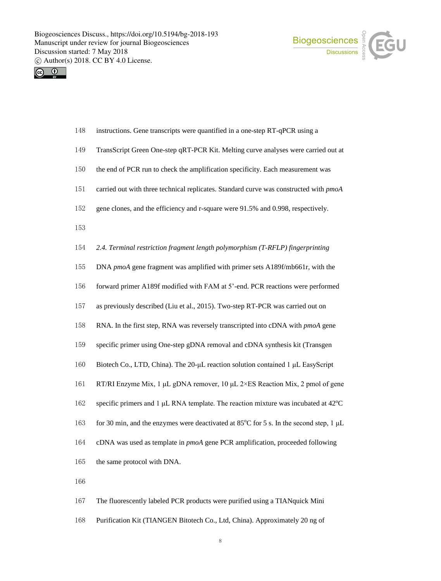



| 148 | instructions. Gene transcripts were quantified in a one-step RT-qPCR using a                      |
|-----|---------------------------------------------------------------------------------------------------|
| 149 | TransScript Green One-step qRT-PCR Kit. Melting curve analyses were carried out at                |
| 150 | the end of PCR run to check the amplification specificity. Each measurement was                   |
| 151 | carried out with three technical replicates. Standard curve was constructed with pmoA             |
| 152 | gene clones, and the efficiency and r-square were 91.5% and 0.998, respectively.                  |
| 153 |                                                                                                   |
| 154 | 2.4. Terminal restriction fragment length polymorphism (T-RFLP) fingerprinting                    |
| 155 | DNA pmoA gene fragment was amplified with primer sets A189f/mb661r, with the                      |
| 156 | forward primer A189f modified with FAM at 5'-end. PCR reactions were performed                    |
| 157 | as previously described (Liu et al., 2015). Two-step RT-PCR was carried out on                    |
| 158 | RNA. In the first step, RNA was reversely transcripted into cDNA with pmoA gene                   |
| 159 | specific primer using One-step gDNA removal and cDNA synthesis kit (Transgen                      |
| 160 | Biotech Co., LTD, China). The 20-µL reaction solution contained 1 µL EasyScript                   |
| 161 | RT/RI Enzyme Mix, 1 µL gDNA remover, 10 µL 2×ES Reaction Mix, 2 pmol of gene                      |
| 162 | specific primers and 1 µL RNA template. The reaction mixture was incubated at 42°C                |
| 163 | for 30 min, and the enzymes were deactivated at 85 $^{\circ}$ C for 5 s. In the second step, 1 µL |
| 164 | cDNA was used as template in pmoA gene PCR amplification, proceeded following                     |
| 165 | the same protocol with DNA.                                                                       |
| 166 |                                                                                                   |
| 167 | The fluorescently labeled PCR products were purified using a TIANquick Mini                       |

Purification Kit (TIANGEN Bitotech Co., Ltd, China). Approximately 20 ng of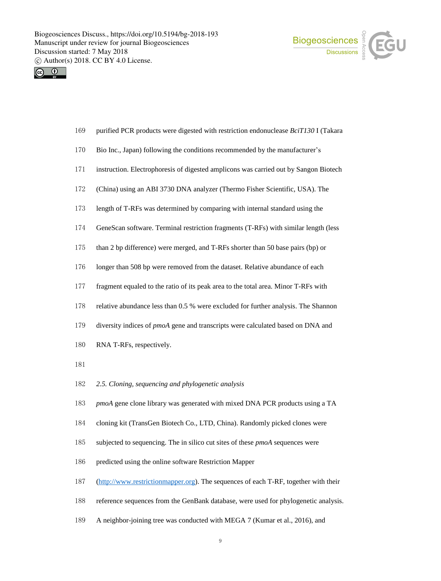



- purified PCR products were digested with restriction endonuclease *BciT130* I (Takara
- Bio Inc., Japan) following the conditions recommended by the manufacturer's
- instruction. Electrophoresis of digested amplicons was carried out by Sangon Biotech
- (China) using an ABI 3730 DNA analyzer (Thermo Fisher Scientific, USA). The
- length of T-RFs was determined by comparing with internal standard using the
- GeneScan software. Terminal restriction fragments (T-RFs) with similar length (less
- than 2 bp difference) were merged, and T-RFs shorter than 50 base pairs (bp) or
- longer than 508 bp were removed from the dataset. Relative abundance of each
- fragment equaled to the ratio of its peak area to the total area. Minor T-RFs with
- relative abundance less than 0.5 % were excluded for further analysis. The Shannon
- diversity indices of *pmoA* gene and transcripts were calculated based on DNA and
- RNA T-RFs, respectively.
- 
- *2.5. Cloning, sequencing and phylogenetic analysis*
- *pmoA* gene clone library was generated with mixed DNA PCR products using a TA
- cloning kit (TransGen Biotech Co., LTD, China). Randomly picked clones were
- subjected to sequencing. The in silico cut sites of these *pmoA* sequences were
- predicted using the online software Restriction Mapper
- (http://www.restrictionmapper.org). The sequences of each T-RF, together with their
- reference sequences from the GenBank database, were used for phylogenetic analysis.
- A neighbor-joining tree was conducted with MEGA 7 (Kumar et al., 2016), and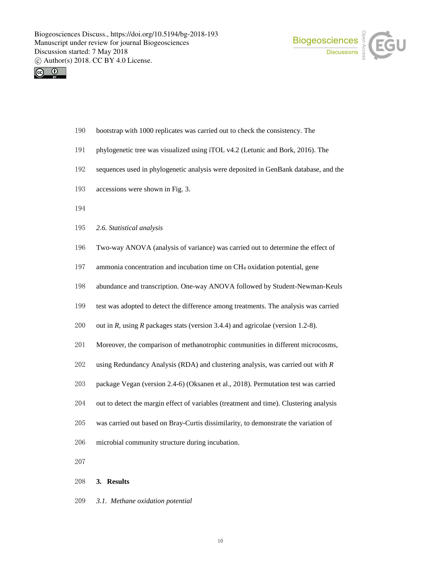



- bootstrap with 1000 replicates was carried out to check the consistency. The
- phylogenetic tree was visualized using iTOL v4.2 (Letunic and Bork, 2016). The
- sequences used in phylogenetic analysis were deposited in GenBank database, and the
- accessions were shown in Fig. 3.
- 
- *2.6. Statistical analysis*
- Two-way ANOVA (analysis of variance) was carried out to determine the effect of
- ammonia concentration and incubation time on CH<sup>4</sup> oxidation potential, gene
- abundance and transcription. One-way ANOVA followed by Student-Newman-Keuls
- test was adopted to detect the difference among treatments. The analysis was carried
- out in *R*, using *R* packages stats (version 3.4.4) and agricolae (version 1.2-8).
- Moreover, the comparison of methanotrophic communities in different microcosms,
- using Redundancy Analysis (RDA) and clustering analysis, was carried out with *R*
- package Vegan (version 2.4-6) (Oksanen et al., 2018). Permutation test was carried
- out to detect the margin effect of variables (treatment and time). Clustering analysis
- was carried out based on Bray-Curtis dissimilarity, to demonstrate the variation of
- microbial community structure during incubation.
- 
- **3. Results**
- *3.1. Methane oxidation potential*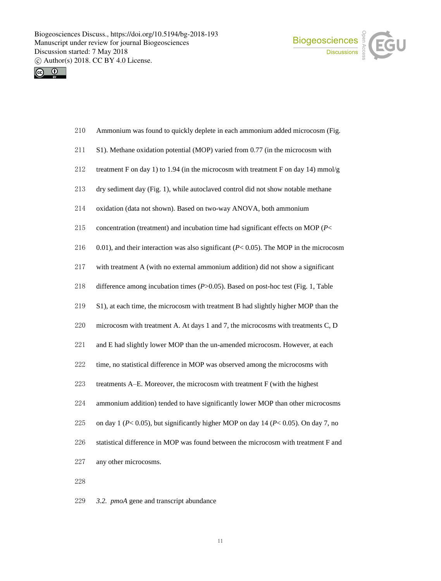



| 210 Ammonium was found to quickly deplete in each ammonium added microcosm (Fig. |  |  |
|----------------------------------------------------------------------------------|--|--|
|                                                                                  |  |  |

- S1). Methane oxidation potential (MOP) varied from 0.77 (in the microcosm with
- treatment F on day 1) to 1.94 (in the microcosm with treatment F on day 14) mmol/g
- dry sediment day (Fig. 1), while autoclaved control did not show notable methane
- oxidation (data not shown). Based on two-way ANOVA, both ammonium
- concentration (treatment) and incubation time had significant effects on MOP (*P*<
- 216 0.01), and their interaction was also significant  $(P< 0.05)$ . The MOP in the microcosm
- with treatment A (with no external ammonium addition) did not show a significant
- difference among incubation times (*P*>0.05). Based on post-hoc test (Fig. 1, Table
- S1), at each time, the microcosm with treatment B had slightly higher MOP than the
- microcosm with treatment A. At days 1 and 7, the microcosms with treatments C, D
- and E had slightly lower MOP than the un-amended microcosm. However, at each
- time, no statistical difference in MOP was observed among the microcosms with
- treatments A–E. Moreover, the microcosm with treatment F (with the highest
- ammonium addition) tended to have significantly lower MOP than other microcosms
- on day 1 (*P*< 0.05), but significantly higher MOP on day 14 (*P*< 0.05). On day 7, no
- statistical difference in MOP was found between the microcosm with treatment F and
- any other microcosms.
- 
- *3.2. pmoA* gene and transcript abundance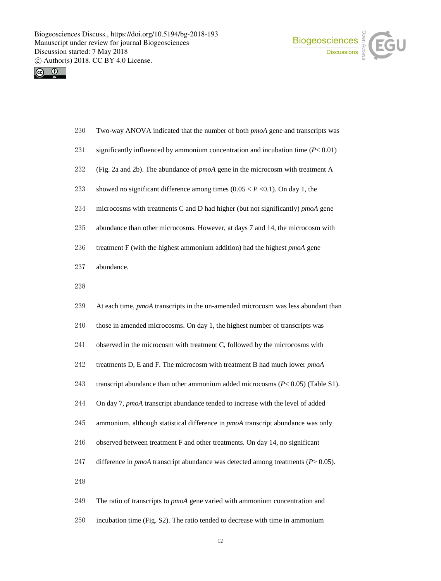



- Two-way ANOVA indicated that the number of both *pmoA* gene and transcripts was
- significantly influenced by ammonium concentration and incubation time (*P*< 0.01)
- (Fig. 2a and 2b). The abundance of *pmoA* gene in the microcosm with treatment A
- showed no significant difference among times (0.05 < *P* <0.1). On day 1, the
- microcosms with treatments C and D had higher (but not significantly) *pmoA* gene
- abundance than other microcosms. However, at days 7 and 14, the microcosm with
- treatment F (with the highest ammonium addition) had the highest *pmoA* gene
- abundance.
- 
- At each time, *pmoA* transcripts in the un-amended microcosm was less abundant than
- those in amended microcosms. On day 1, the highest number of transcripts was
- observed in the microcosm with treatment C, followed by the microcosms with
- treatments D, E and F. The microcosm with treatment B had much lower *pmoA*
- transcript abundance than other ammonium added microcosms (*P*< 0.05) (Table S1).
- On day 7, *pmoA* transcript abundance tended to increase with the level of added
- ammonium, although statistical difference in *pmoA* transcript abundance was only
- observed between treatment F and other treatments. On day 14, no significant
- difference in *pmoA* transcript abundance was detected among treatments (*P*> 0.05).
- 
- The ratio of transcripts to *pmoA* gene varied with ammonium concentration and
- incubation time (Fig. S2). The ratio tended to decrease with time in ammonium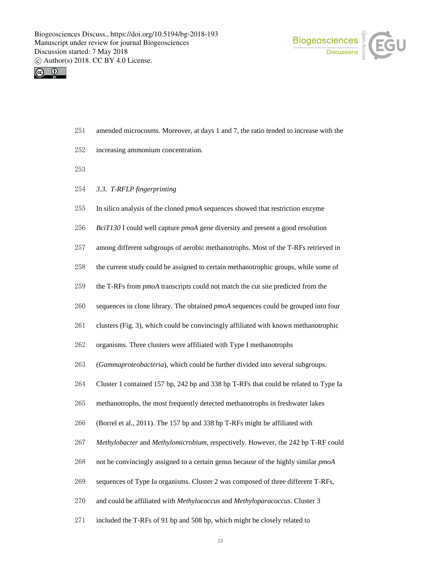



- amended microcosms. Moreover, at days 1 and 7, the ratio tended to increase with the
- increasing ammonium concentration.
- 
- *3.3. T-RFLP fingerprinting*
- In silico analysis of the cloned *pmoA* sequences showed that restriction enzyme
- *BciT130* I could well capture *pmoA* gene diversity and present a good resolution
- among different subgroups of aerobic methanotrophs. Most of the T-RFs retrieved in
- the current study could be assigned to certain methanotrophic groups, while some of
- the T-RFs from *pmoA* transcripts could not match the cut site predicted from the
- sequences in clone library. The obtained *pmoA* sequences could be grouped into four
- clusters (Fig. 3), which could be convincingly affiliated with known methanotrophic
- organisms. Three clusters were affiliated with Type I methanotrophs
- (*Gammaproteobacteria*), which could be further divided into several subgroups.
- Cluster 1 contained 157 bp, 242 bp and 338 bp T-RFs that could be related to Type Ia
- methanotrophs, the most frequently detected methanotrophs in freshwater lakes
- (Borrel et al., 2011). The 157 bp and 338 bp T-RFs might be affiliated with
- *Methylobacter* and *Methylomicrobium*, respectively. However, the 242 bp T-RF could
- not be convincingly assigned to a certain genus because of the highly similar *pmoA*
- sequences of Type Ia organisms. Cluster 2 was composed of three different T-RFs,
- and could be affiliated with *Methylococcus* and *Methyloparacoccus*. Cluster 3
- included the T-RFs of 91 bp and 508 bp, which might be closely related to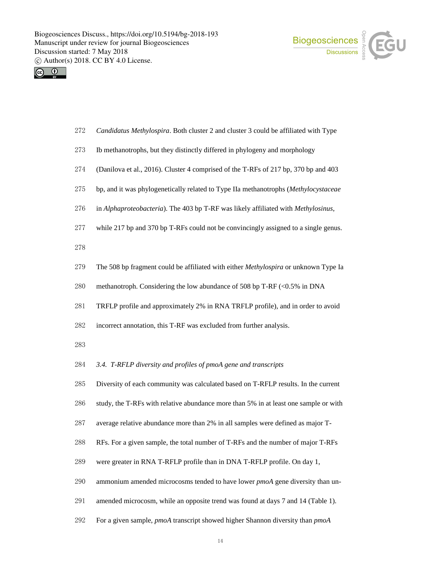



- *Candidatus Methylospira*. Both cluster 2 and cluster 3 could be affiliated with Type
- Ib methanotrophs, but they distinctly differed in phylogeny and morphology
- (Danilova et al., 2016). Cluster 4 comprised of the T-RFs of 217 bp, 370 bp and 403
- bp, and it was phylogenetically related to Type IIa methanotrophs (*Methylocystaceae*
- in *Alphaproteobacteria*). The 403 bp T-RF was likely affiliated with *Methylosinus*,
- while 217 bp and 370 bp T-RFs could not be convincingly assigned to a single genus.
- 
- The 508 bp fragment could be affiliated with either *Methylospira* or unknown Type Ia
- methanotroph. Considering the low abundance of 508 bp T-RF (<0.5% in DNA
- TRFLP profile and approximately 2% in RNA TRFLP profile), and in order to avoid
- incorrect annotation, this T-RF was excluded from further analysis.
- 
- *3.4. T-RFLP diversity and profiles of pmoA gene and transcripts*
- Diversity of each community was calculated based on T-RFLP results. In the current
- study, the T-RFs with relative abundance more than 5% in at least one sample or with
- average relative abundance more than 2% in all samples were defined as major T-
- RFs. For a given sample, the total number of T-RFs and the number of major T-RFs
- were greater in RNA T-RFLP profile than in DNA T-RFLP profile. On day 1,
- ammonium amended microcosms tended to have lower *pmoA* gene diversity than un-
- amended microcosm, while an opposite trend was found at days 7 and 14 (Table 1).
- For a given sample, *pmoA* transcript showed higher Shannon diversity than *pmoA*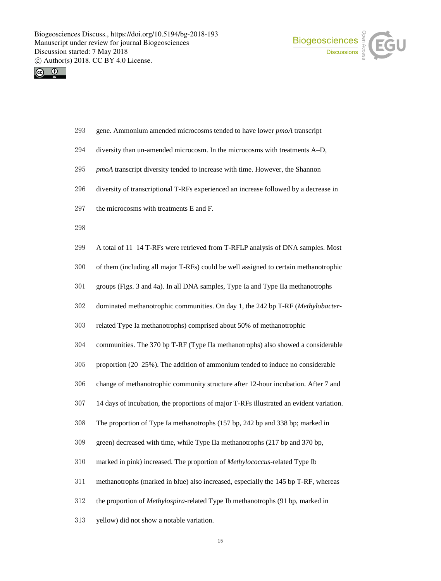



- gene. Ammonium amended microcosms tended to have lower *pmoA* transcript
- diversity than un-amended microcosm. In the microcosms with treatments A–D,
- *pmoA* transcript diversity tended to increase with time. However, the Shannon
- diversity of transcriptional T-RFs experienced an increase followed by a decrease in
- the microcosms with treatments E and F.
- 
- A total of 11–14 T-RFs were retrieved from T-RFLP analysis of DNA samples. Most
- of them (including all major T-RFs) could be well assigned to certain methanotrophic
- groups (Figs. 3 and 4a). In all DNA samples, Type Ia and Type IIa methanotrophs
- dominated methanotrophic communities. On day 1, the 242 bp T-RF (*Methylobacter*-
- related Type Ia methanotrophs) comprised about 50% of methanotrophic
- communities. The 370 bp T-RF (Type IIa methanotrophs) also showed a considerable
- proportion (20–25%). The addition of ammonium tended to induce no considerable
- change of methanotrophic community structure after 12-hour incubation. After 7 and
- 14 days of incubation, the proportions of major T-RFs illustrated an evident variation.
- The proportion of Type Ia methanotrophs (157 bp, 242 bp and 338 bp; marked in
- green) decreased with time, while Type IIa methanotrophs (217 bp and 370 bp,
- marked in pink) increased. The proportion of *Methylococcus*-related Type Ib
- methanotrophs (marked in blue) also increased, especially the 145 bp T-RF, whereas
- the proportion of *Methylospira*-related Type Ib methanotrophs (91 bp, marked in
- yellow) did not show a notable variation.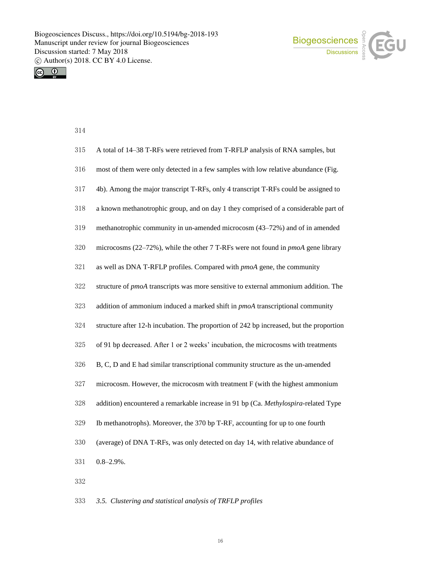



| 315 | A total of 14–38 T-RFs were retrieved from T-RFLP analysis of RNA samples, but          |
|-----|-----------------------------------------------------------------------------------------|
| 316 | most of them were only detected in a few samples with low relative abundance (Fig.      |
| 317 | 4b). Among the major transcript T-RFs, only 4 transcript T-RFs could be assigned to     |
| 318 | a known methanotrophic group, and on day 1 they comprised of a considerable part of     |
| 319 | methanotrophic community in un-amended microcosm (43–72%) and of in amended             |
| 320 | microcosms (22–72%), while the other 7 T-RFs were not found in <i>pmoA</i> gene library |
| 321 | as well as DNA T-RFLP profiles. Compared with <i>pmoA</i> gene, the community           |
| 322 | structure of pmoA transcripts was more sensitive to external ammonium addition. The     |
| 323 | addition of ammonium induced a marked shift in <i>pmoA</i> transcriptional community    |
| 324 | structure after 12-h incubation. The proportion of 242 bp increased, but the proportion |
| 325 | of 91 bp decreased. After 1 or 2 weeks' incubation, the microcosms with treatments      |
| 326 | B, C, D and E had similar transcriptional community structure as the un-amended         |
| 327 | microcosm. However, the microcosm with treatment F (with the highest ammonium           |
| 328 | addition) encountered a remarkable increase in 91 bp (Ca. Methylospira-related Type     |
| 329 | Ib methanotrophs). Moreover, the 370 bp T-RF, accounting for up to one fourth           |
| 330 | (average) of DNA T-RFs, was only detected on day 14, with relative abundance of         |
| 331 | $0.8 - 2.9\%$ .                                                                         |
| 332 |                                                                                         |

*3.5. Clustering and statistical analysis of TRFLP profiles*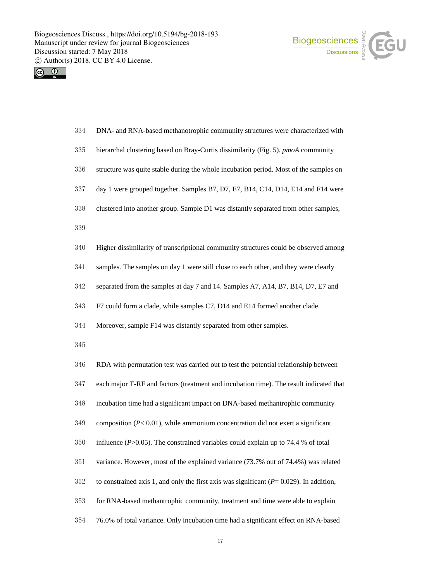



| 334 | DNA- and RNA-based methanotrophic community structures were characterized with               |
|-----|----------------------------------------------------------------------------------------------|
| 335 | hierarchal clustering based on Bray-Curtis dissimilarity (Fig. 5). pmoA community            |
| 336 | structure was quite stable during the whole incubation period. Most of the samples on        |
| 337 | day 1 were grouped together. Samples B7, D7, E7, B14, C14, D14, E14 and F14 were             |
| 338 | clustered into another group. Sample D1 was distantly separated from other samples,          |
| 339 |                                                                                              |
| 340 | Higher dissimilarity of transcriptional community structures could be observed among         |
| 341 | samples. The samples on day 1 were still close to each other, and they were clearly          |
| 342 | separated from the samples at day 7 and 14. Samples A7, A14, B7, B14, D7, E7 and             |
| 343 | F7 could form a clade, while samples C7, D14 and E14 formed another clade.                   |
| 344 | Moreover, sample F14 was distantly separated from other samples.                             |
| 345 |                                                                                              |
| 346 | RDA with permutation test was carried out to test the potential relationship between         |
| 347 | each major T-RF and factors (treatment and incubation time). The result indicated that       |
| 348 | incubation time had a significant impact on DNA-based methantrophic community                |
| 349 | composition $(P< 0.01)$ , while ammonium concentration did not exert a significant           |
| 350 | influence ( $P > 0.05$ ). The constrained variables could explain up to 74.4 % of total      |
| 351 | variance. However, most of the explained variance (73.7% out of 74.4%) was related           |
| 352 | to constrained axis 1, and only the first axis was significant ( $P = 0.029$ ). In addition, |
| 353 | for RNA-based methantrophic community, treatment and time were able to explain               |
|     |                                                                                              |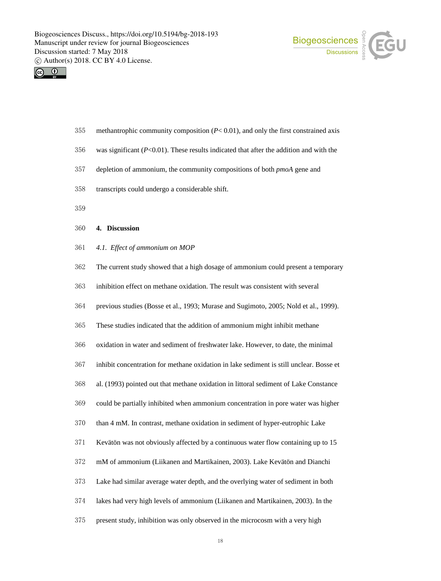



- methantrophic community composition (*P*< 0.01), and only the first constrained axis
- was significant (*P*<0.01). These results indicated that after the addition and with the
- depletion of ammonium, the community compositions of both *pmoA* gene and
- transcripts could undergo a considerable shift.
- 
- **4. Discussion**
- *4.1. Effect of ammonium on MOP*
- The current study showed that a high dosage of ammonium could present a temporary
- inhibition effect on methane oxidation. The result was consistent with several
- previous studies (Bosse et al., 1993; Murase and Sugimoto, 2005; Nold et al., 1999).
- These studies indicated that the addition of ammonium might inhibit methane
- oxidation in water and sediment of freshwater lake. However, to date, the minimal
- inhibit concentration for methane oxidation in lake sediment is still unclear. Bosse et
- al. (1993) pointed out that methane oxidation in littoral sediment of Lake Constance
- could be partially inhibited when ammonium concentration in pore water was higher
- than 4 mM. In contrast, methane oxidation in sediment of hyper-eutrophic Lake
- Kevätön was not obviously affected by a continuous water flow containing up to 15
- mM of ammonium (Liikanen and Martikainen, 2003). Lake Kevätön and Dianchi
- Lake had similar average water depth, and the overlying water of sediment in both
- lakes had very high levels of ammonium (Liikanen and Martikainen, 2003). In the
- present study, inhibition was only observed in the microcosm with a very high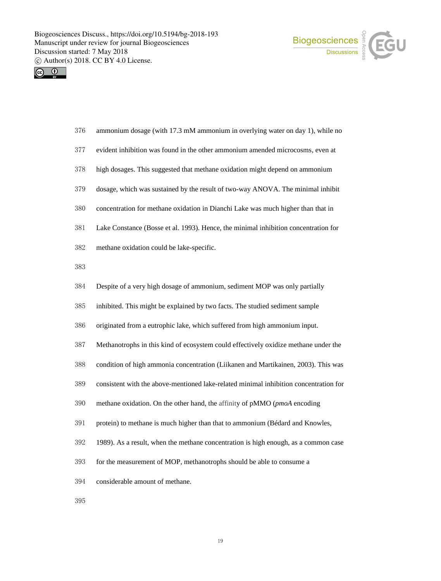



| 376 | ammonium dosage (with 17.3 mM ammonium in overlying water on day 1), while no         |
|-----|---------------------------------------------------------------------------------------|
| 377 | evident inhibition was found in the other ammonium amended microcosms, even at        |
| 378 | high dosages. This suggested that methane oxidation might depend on ammonium          |
| 379 | dosage, which was sustained by the result of two-way ANOVA. The minimal inhibit       |
| 380 | concentration for methane oxidation in Dianchi Lake was much higher than that in      |
| 381 | Lake Constance (Bosse et al. 1993). Hence, the minimal inhibition concentration for   |
| 382 | methane oxidation could be lake-specific.                                             |
| 383 |                                                                                       |
| 384 | Despite of a very high dosage of ammonium, sediment MOP was only partially            |
| 385 | inhibited. This might be explained by two facts. The studied sediment sample          |
| 386 | originated from a eutrophic lake, which suffered from high ammonium input.            |
| 387 | Methanotrophs in this kind of ecosystem could effectively oxidize methane under the   |
| 388 | condition of high ammonia concentration (Liikanen and Martikainen, 2003). This was    |
| 389 | consistent with the above-mentioned lake-related minimal inhibition concentration for |
| 390 | methane oxidation. On the other hand, the affinity of pMMO (pmoA encoding             |
| 391 | protein) to methane is much higher than that to ammonium (Bédard and Knowles,         |
| 392 | 1989). As a result, when the methane concentration is high enough, as a common case   |
| 393 | for the measurement of MOP, methanotrophs should be able to consume a                 |
| 394 | considerable amount of methane.                                                       |
| 395 |                                                                                       |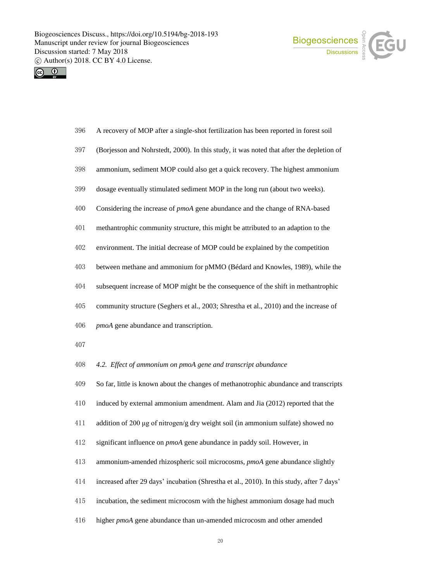



- A recovery of MOP after a single-shot fertilization has been reported in forest soil
- (Borjesson and Nohrstedt, 2000). In this study, it was noted that after the depletion of
- ammonium, sediment MOP could also get a quick recovery. The highest ammonium
- dosage eventually stimulated sediment MOP in the long run (about two weeks).
- Considering the increase of *pmoA* gene abundance and the change of RNA-based
- methantrophic community structure, this might be attributed to an adaption to the
- environment. The initial decrease of MOP could be explained by the competition
- between methane and ammonium for pMMO (Bédard and Knowles, 1989), while the
- subsequent increase of MOP might be the consequence of the shift in methantrophic
- community structure (Seghers et al., 2003; Shrestha et al., 2010) and the increase of
- *pmoA* gene abundance and transcription.
- 
- *4.2. Effect of ammonium on pmoA gene and transcript abundance*
- So far, little is known about the changes of methanotrophic abundance and transcripts
- induced by external ammonium amendment. Alam and Jia (2012) reported that the
- addition of 200 μg of nitrogen/g dry weight soil (in ammonium sulfate) showed no
- significant influence on *pmoA* gene abundance in paddy soil. However, in
- ammonium-amended rhizospheric soil microcosms, *pmoA* gene abundance slightly
- increased after 29 days' incubation (Shrestha et al., 2010). In this study, after 7 days'
- incubation, the sediment microcosm with the highest ammonium dosage had much
- higher *pmoA* gene abundance than un-amended microcosm and other amended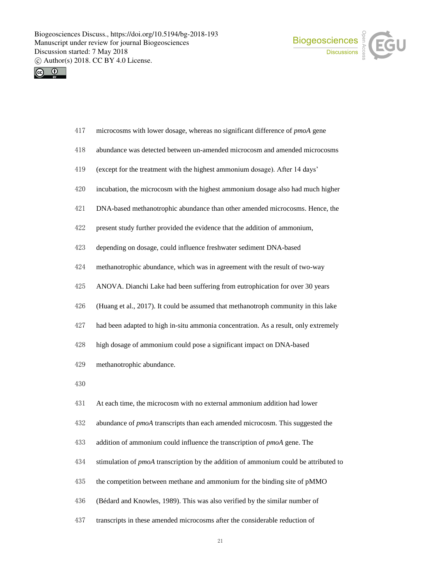



- microcosms with lower dosage, whereas no significant difference of *pmoA* gene
- abundance was detected between un-amended microcosm and amended microcosms
- (except for the treatment with the highest ammonium dosage). After 14 days'
- incubation, the microcosm with the highest ammonium dosage also had much higher
- DNA-based methanotrophic abundance than other amended microcosms. Hence, the
- present study further provided the evidence that the addition of ammonium,
- depending on dosage, could influence freshwater sediment DNA-based
- methanotrophic abundance, which was in agreement with the result of two-way
- ANOVA. Dianchi Lake had been suffering from eutrophication for over 30 years
- (Huang et al., 2017). It could be assumed that methanotroph community in this lake
- had been adapted to high in-situ ammonia concentration. As a result, only extremely
- high dosage of ammonium could pose a significant impact on DNA-based
- methanotrophic abundance.
- 
- At each time, the microcosm with no external ammonium addition had lower
- abundance of *pmoA* transcripts than each amended microcosm. This suggested the
- addition of ammonium could influence the transcription of *pmoA* gene. The
- stimulation of *pmoA* transcription by the addition of ammonium could be attributed to
- the competition between methane and ammonium for the binding site of pMMO
- (Bédard and Knowles, 1989). This was also verified by the similar number of
- transcripts in these amended microcosms after the considerable reduction of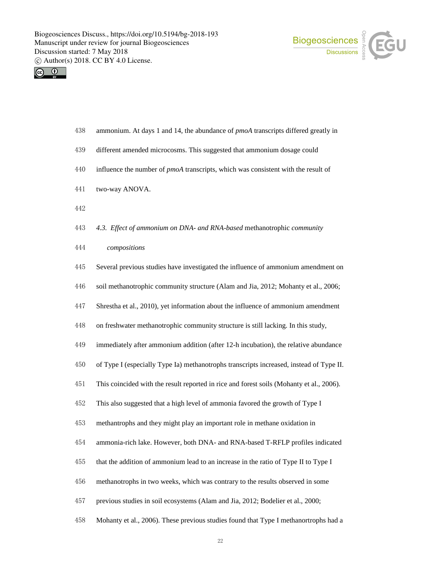



- ammonium. At days 1 and 14, the abundance of *pmoA* transcripts differed greatly in
- different amended microcosms. This suggested that ammonium dosage could
- influence the number of *pmoA* transcripts, which was consistent with the result of
- two-way ANOVA.
- 
- *4.3. Effect of ammonium on DNA- and RNA-based* methanotrophic *community*
- *compositions*
- Several previous studies have investigated the influence of ammonium amendment on
- soil methanotrophic community structure (Alam and Jia, 2012; Mohanty et al., 2006;
- Shrestha et al., 2010), yet information about the influence of ammonium amendment
- on freshwater methanotrophic community structure is still lacking. In this study,
- immediately after ammonium addition (after 12-h incubation), the relative abundance
- of Type I (especially Type Ia) methanotrophs transcripts increased, instead of Type II.
- This coincided with the result reported in rice and forest soils (Mohanty et al., 2006).
- This also suggested that a high level of ammonia favored the growth of Type I
- methantrophs and they might play an important role in methane oxidation in
- ammonia-rich lake. However, both DNA- and RNA-based T-RFLP profiles indicated
- that the addition of ammonium lead to an increase in the ratio of Type II to Type I
- methanotrophs in two weeks, which was contrary to the results observed in some
- previous studies in soil ecosystems (Alam and Jia, 2012; Bodelier et al., 2000;
- Mohanty et al., 2006). These previous studies found that Type I methanortrophs had a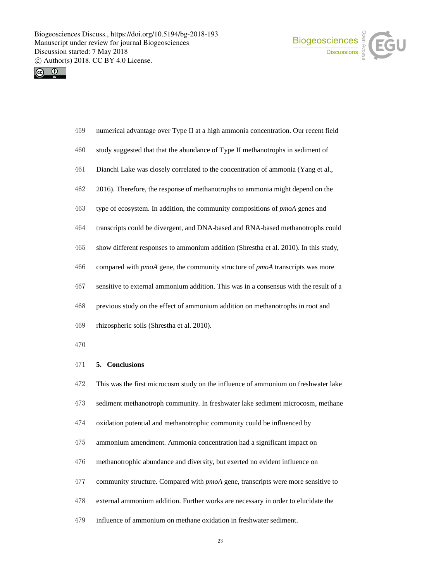



- numerical advantage over Type II at a high ammonia concentration. Our recent field
- study suggested that that the abundance of Type II methanotrophs in sediment of
- Dianchi Lake was closely correlated to the concentration of ammonia (Yang et al.,
- 2016). Therefore, the response of methanotrophs to ammonia might depend on the
- type of ecosystem. In addition, the community compositions of *pmoA* genes and
- transcripts could be divergent, and DNA-based and RNA-based methanotrophs could
- show different responses to ammonium addition (Shrestha et al. 2010). In this study,
- compared with *pmoA* gene, the community structure of *pmoA* transcripts was more
- sensitive to external ammonium addition. This was in a consensus with the result of a
- previous study on the effect of ammonium addition on methanotrophs in root and
- rhizospheric soils (Shrestha et al. 2010).
- 

# **5. Conclusions**

 This was the first microcosm study on the influence of ammonium on freshwater lake sediment methanotroph community. In freshwater lake sediment microcosm, methane oxidation potential and methanotrophic community could be influenced by ammonium amendment. Ammonia concentration had a significant impact on methanotrophic abundance and diversity, but exerted no evident influence on community structure. Compared with *pmoA* gene, transcripts were more sensitive to external ammonium addition. Further works are necessary in order to elucidate the influence of ammonium on methane oxidation in freshwater sediment.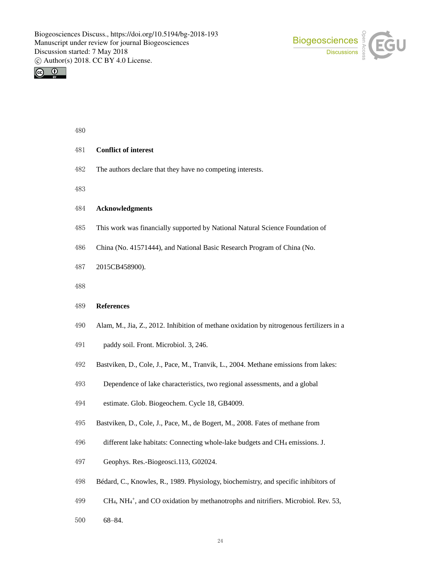



## 

## **Conflict of interest**

- The authors declare that they have no competing interests.
- 

### **Acknowledgments**

- This work was financially supported by National Natural Science Foundation of
- China (No. 41571444), and National Basic Research Program of China (No.
- 2015CB458900).
- 

#### **References**

- Alam, M., Jia, Z., 2012. Inhibition of methane oxidation by nitrogenous fertilizers in a
- paddy soil. Front. Microbiol. 3, 246.
- Bastviken, D., Cole, J., Pace, M., Tranvik, L., 2004. Methane emissions from lakes:
- Dependence of lake characteristics, two regional assessments, and a global
- estimate. Glob. Biogeochem. Cycle 18, GB4009.
- Bastviken, D., Cole, J., Pace, M., de Bogert, M., 2008. Fates of methane from
- different lake habitats: Connecting whole-lake budgets and CH<sup>4</sup> emissions. J.
- Geophys. Res.-Biogeosci.113, G02024.
- Bédard, C., Knowles, R., 1989. Physiology, biochemistry, and specific inhibitors of
- 499 CH<sub>4</sub>, NH<sub>4</sub><sup>+</sup>, and CO oxidation by methanotrophs and nitrifiers. Microbiol. Rev. 53,
- 68–84.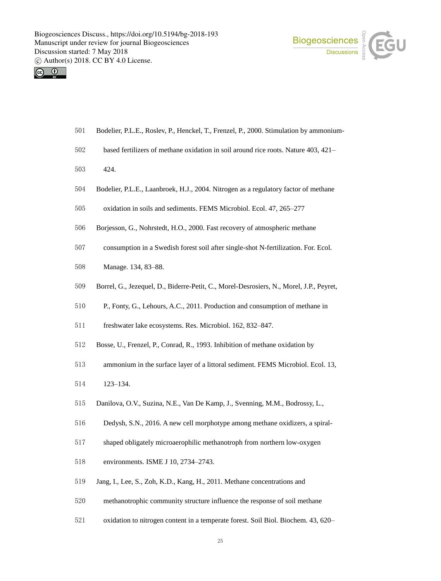



- Bodelier, P.L.E., Roslev, P., Henckel, T., Frenzel, P., 2000. Stimulation by ammonium-
- based fertilizers of methane oxidation in soil around rice roots. Nature 403, 421–
- 424.
- Bodelier, P.L.E., Laanbroek, H.J., 2004. Nitrogen as a regulatory factor of methane
- oxidation in soils and sediments. FEMS Microbiol. Ecol. 47, 265–277
- Borjesson, G., Nohrstedt, H.O., 2000. Fast recovery of atmospheric methane
- consumption in a Swedish forest soil after single-shot N-fertilization. For. Ecol.
- Manage. 134, 83–88.
- Borrel, G., Jezequel, D., Biderre-Petit, C., Morel-Desrosiers, N., Morel, J.P., Peyret,
- P., Fonty, G., Lehours, A.C., 2011. Production and consumption of methane in
- freshwater lake ecosystems. Res. Microbiol. 162, 832–847.
- Bosse, U., Frenzel, P., Conrad, R., 1993. Inhibition of methane oxidation by
- ammonium in the surface layer of a littoral sediment. FEMS Microbiol. Ecol. 13,
- 123–134.
- Danilova, O.V., Suzina, N.E., Van De Kamp, J., Svenning, M.M., Bodrossy, L.,
- Dedysh, S.N., 2016. A new cell morphotype among methane oxidizers, a spiral-
- shaped obligately microaerophilic methanotroph from northern low-oxygen
- environments. ISME J 10, 2734–2743.
- Jang, I., Lee, S., Zoh, K.D., Kang, H., 2011. Methane concentrations and
- methanotrophic community structure influence the response of soil methane
- oxidation to nitrogen content in a temperate forest. Soil Biol. Biochem. 43, 620–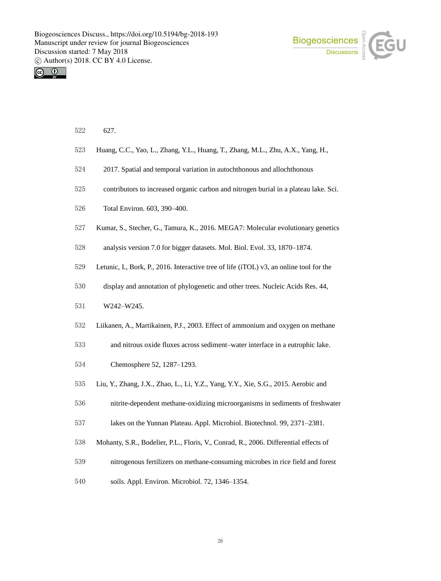



- 627.
- Huang, C.C., Yao, L., Zhang, Y.L., Huang, T., Zhang, M.L., Zhu, A.X., Yang, H.,
- 2017. Spatial and temporal variation in autochthonous and allochthonous
- contributors to increased organic carbon and nitrogen burial in a plateau lake. Sci.
- Total Environ. 603, 390–400.
- Kumar, S., Stecher, G., Tamura, K., 2016. MEGA7: Molecular evolutionary genetics
- analysis version 7.0 for bigger datasets. Mol. Biol. Evol. 33, 1870–1874.
- Letunic, I., Bork, P., 2016. Interactive tree of life (iTOL) v3, an online tool for the
- display and annotation of phylogenetic and other trees. Nucleic Acids Res. 44,
- W242–W245.
- Liikanen, A., Martikainen, P.J., 2003. Effect of ammonium and oxygen on methane
- and nitrous oxide fluxes across sediment–water interface in a eutrophic lake.
- Chemosphere 52, 1287–1293.
- Liu, Y., Zhang, J.X., Zhao, L., Li, Y.Z., Yang, Y.Y., Xie, S.G., 2015. Aerobic and
- nitrite-dependent methane-oxidizing microorganisms in sediments of freshwater
- lakes on the Yunnan Plateau. Appl. Microbiol. Biotechnol. 99, 2371–2381.
- Mohanty, S.R., Bodelier, P.L., Floris, V., Conrad, R., 2006. Differential effects of
- nitrogenous fertilizers on methane-consuming microbes in rice field and forest
- soils. Appl. Environ. Microbiol. 72, 1346–1354.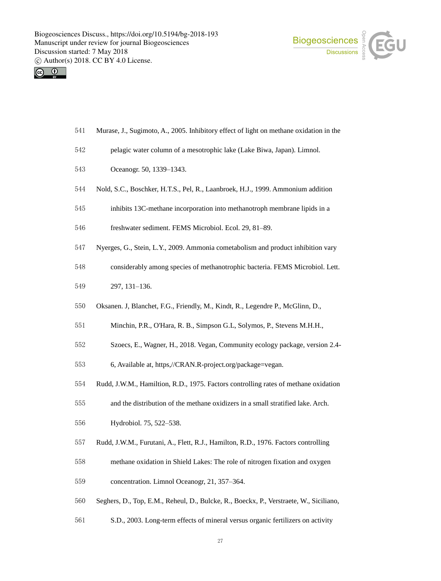



- Murase, J., Sugimoto, A., 2005. Inhibitory effect of light on methane oxidation in the
- pelagic water column of a mesotrophic lake (Lake Biwa, Japan). Limnol.
- Oceanogr. 50, 1339–1343.
- Nold, S.C., Boschker, H.T.S., Pel, R., Laanbroek, H.J., 1999. Ammonium addition
- inhibits 13C-methane incorporation into methanotroph membrane lipids in a
- freshwater sediment. FEMS Microbiol. Ecol. 29, 81–89.
- Nyerges, G., Stein, L.Y., 2009. Ammonia cometabolism and product inhibition vary
- considerably among species of methanotrophic bacteria. FEMS Microbiol. Lett.
- 297, 131–136.
- Oksanen. J, Blanchet, F.G., Friendly, M., Kindt, R., Legendre P., McGlinn, D.,
- Minchin, P.R., O'Hara, R. B., Simpson G.L, Solymos, P., Stevens M.H.H.,
- Szoecs, E., Wagner, H., 2018. Vegan, Community ecology package, version 2.4-
- 6, Available at, https,//CRAN.R-project.org/package=vegan.
- Rudd, J.W.M., Hamiltion, R.D., 1975. Factors controlling rates of methane oxidation
- and the distribution of the methane oxidizers in a small stratified lake. Arch.
- Hydrobiol. 75, 522–538.
- Rudd, J.W.M., Furutani, A., Flett, R.J., Hamilton, R.D., 1976. Factors controlling
- methane oxidation in Shield Lakes: The role of nitrogen fixation and oxygen
- concentration. Limnol Oceanogr, 21, 357–364.
- Seghers, D., Top, E.M., Reheul, D., Bulcke, R., Boeckx, P., Verstraete, W., Siciliano,
- S.D., 2003. Long-term effects of mineral versus organic fertilizers on activity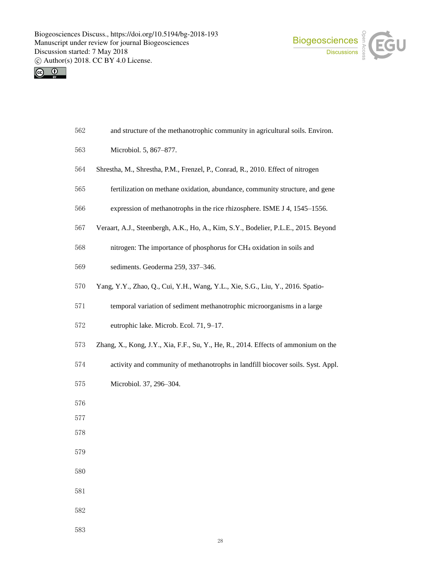



| 562 | and structure of the methanotrophic community in agricultural soils. Environ. |  |  |  |
|-----|-------------------------------------------------------------------------------|--|--|--|
|     |                                                                               |  |  |  |

- Microbiol. 5, 867–877.
- Shrestha, M., Shrestha, P.M., Frenzel, P., Conrad, R., 2010. Effect of nitrogen
- fertilization on methane oxidation, abundance, community structure, and gene
- expression of methanotrophs in the rice rhizosphere. ISME J 4, 1545–1556.
- Veraart, A.J., Steenbergh, A.K., Ho, A., Kim, S.Y., Bodelier, P.L.E., 2015. Beyond

nitrogen: The importance of phosphorus for CH<sup>4</sup> oxidation in soils and

- sediments. Geoderma 259, 337–346.
- Yang, Y.Y., Zhao, Q., Cui, Y.H., Wang, Y.L., Xie, S.G., Liu, Y., 2016. Spatio-
- temporal variation of sediment methanotrophic microorganisms in a large
- eutrophic lake. Microb. Ecol. 71, 9–17.
- Zhang, X., Kong, J.Y., Xia, F.F., Su, Y., He, R., 2014. Effects of ammonium on the
- activity and community of methanotrophs in landfill biocover soils. Syst. Appl.
- Microbiol. 37, 296–304.
- 
- 
- 
- 
- 
- 
- 
-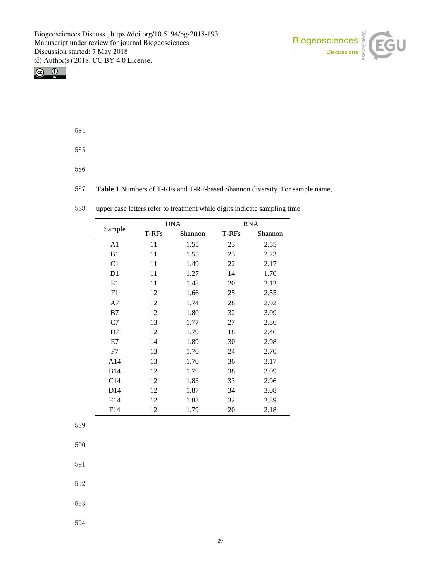



584

585

586

587 **Table 1** Numbers of T-RFs and T-RF-based Shannon diversity. For sample name,

|        |                 |       | <b>DNA</b> |       | <b>RNA</b> |  |  |
|--------|-----------------|-------|------------|-------|------------|--|--|
| Sample |                 | T-RFs | Shannon    | T-RFs | Shannon    |  |  |
|        | A1              | 11    | 1.55       | 23    | 2.55       |  |  |
|        | B <sub>1</sub>  | 11    | 1.55       | 23    | 2.23       |  |  |
|        | C <sub>1</sub>  | 11    | 1.49       | 22    | 2.17       |  |  |
|        | D1              | 11    | 1.27       | 14    | 1.70       |  |  |
|        | E1              | 11    | 1.48       | 20    | 2.12       |  |  |
|        | F1              | 12    | 1.66       | 25    | 2.55       |  |  |
|        | A7              | 12    | 1.74       | 28    | 2.92       |  |  |
|        | B7              | 12    | 1.80       | 32    | 3.09       |  |  |
|        | C7              | 13    | 1.77       | 27    | 2.86       |  |  |
|        | D7              | 12    | 1.79       | 18    | 2.46       |  |  |
|        | E7              | 14    | 1.89       | 30    | 2.98       |  |  |
|        | F7              | 13    | 1.70       | 24    | 2.70       |  |  |
|        | A14             | 13    | 1.70       | 36    | 3.17       |  |  |
|        | <b>B14</b>      | 12    | 1.79       | 38    | 3.09       |  |  |
|        | C14             | 12    | 1.83       | 33    | 2.96       |  |  |
|        | D <sub>14</sub> | 12    | 1.87       | 34    | 3.08       |  |  |
|        | E14             | 12    | 1.83       | 32    | 2.89       |  |  |
|        | F14             | 12    | 1.79       | 20    | 2.18       |  |  |

588 upper case letters refer to treatment while digits indicate sampling time.

589

590

591

592

593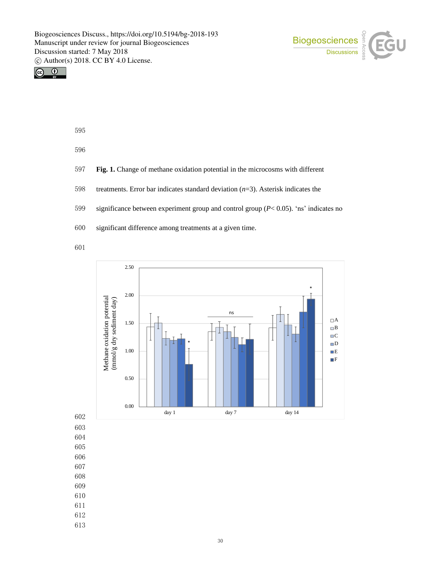



- 595
- 596
- 597 **Fig. 1.** Change of methane oxidation potential in the microcosms with different
- 598 treatments. Error bar indicates standard deviation (*n*=3). Asterisk indicates the
- 599 significance between experiment group and control group (*P*< 0.05). 'ns' indicates no
- 600 significant difference among treatments at a given time.
- 601



- 603 604
- 605
- 606
- 607
- 608
- 609
- 610
- 611
- 612
- 613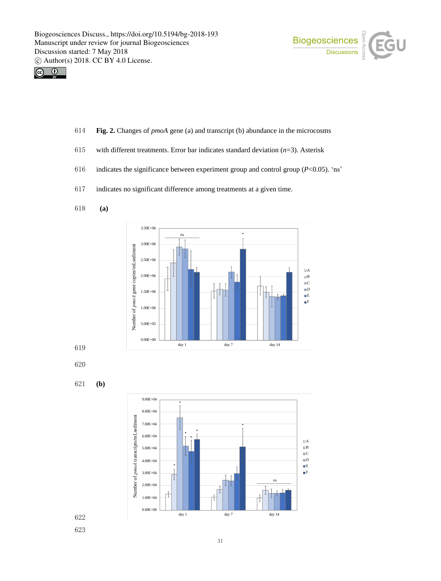



- 614 **Fig. 2.** Changes of *pmoA* gene (a) and transcript (b) abundance in the microcosms
- 615 with different treatments. Error bar indicates standard deviation (*n*=3). Asterisk
- 616 indicates the significance between experiment group and control group (*P*<0.05). 'ns'
- 617 indicates no significant difference among treatments at a given time.
- 618 **(a)**



619

620

621 **(b)**

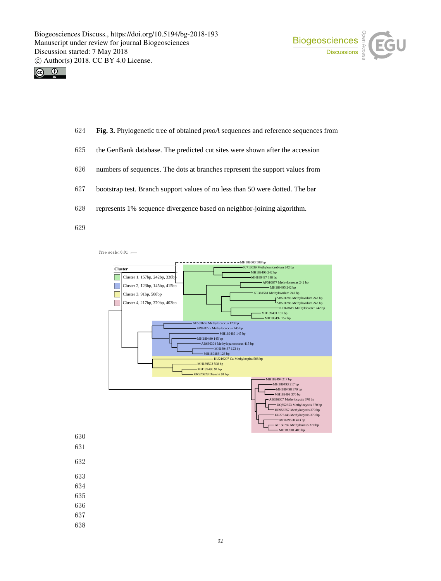



- 624 **Fig. 3.** Phylogenetic tree of obtained *pmoA* sequences and reference sequences from
- 625 the GenBank database. The predicted cut sites were shown after the accession
- 626 numbers of sequences. The dots at branches represent the support values from
- 627 bootstrap test. Branch support values of no less than 50 were dotted. The bar
- 628 represents 1% sequence divergence based on neighbor-joining algorithm.
- 629



- 630
- 631
- 632
- 633
- 634
- 635
- 636
- 637
- 638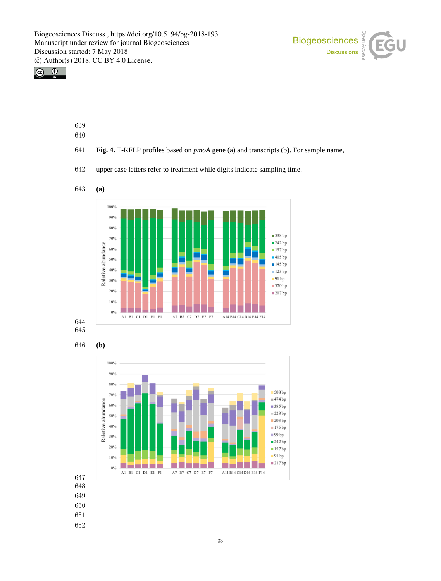



- 
- 
- **Fig. 4.** T-RFLP profiles based on *pmoA* gene (a) and transcripts (b). For sample name,
- upper case letters refer to treatment while digits indicate sampling time.







- 
-